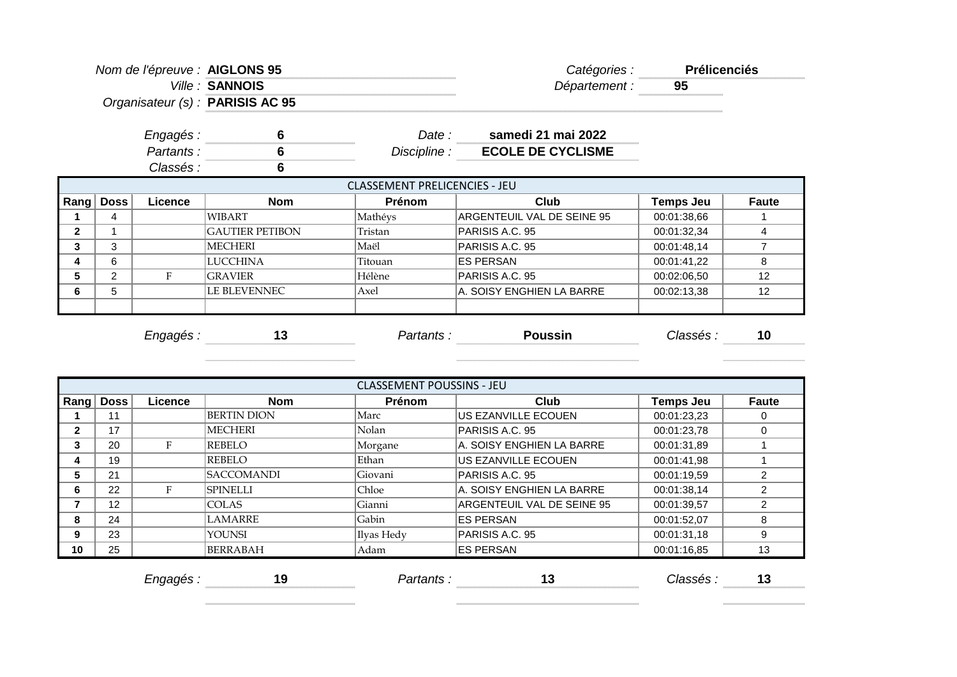| Nom de l'épreuve : AIGLONS 95 |                |                |                                  |                                      | Catégories :               | <b>Prélicenciés</b> |                |
|-------------------------------|----------------|----------------|----------------------------------|--------------------------------------|----------------------------|---------------------|----------------|
|                               |                |                | Ville: SANNOIS                   |                                      | Département :              | 95                  |                |
|                               |                |                | Organisateur (s) : PARISIS AC 95 |                                      |                            |                     |                |
|                               |                | Engagés :      | 6                                | Date :                               | samedi 21 mai 2022         |                     |                |
|                               |                | Partants:      | 6                                | Discipline :                         | <b>ECOLE DE CYCLISME</b>   |                     |                |
|                               |                | Classés :      | 6                                |                                      |                            |                     |                |
|                               |                |                |                                  | <b>CLASSEMENT PRELICENCIES - JEU</b> |                            |                     |                |
| $\mathsf{Rang} \mid$          | Doss           | <b>Licence</b> | <b>Nom</b>                       | Prénom                               | Club                       | Temps Jeu           | <b>Faute</b>   |
|                               | 4              |                | <b>WIBART</b>                    | Mathéys                              | ARGENTEUIL VAL DE SEINE 95 | 00:01:38,66         |                |
|                               |                |                | <b>GAUTIER PETIBON</b>           | Tristan                              | PARISIS A.C. 95            | 00:01:32,34         | 4              |
|                               | 3              |                | MECHERI                          | Maël                                 | PARISIS A.C. 95            | 00:01:48,14         | $\overline{7}$ |
|                               | 6              |                | <b>LUCCHINA</b>                  | Titouan                              | <b>IES PERSAN</b>          | 00:01:41,22         | 8              |
|                               | $\overline{2}$ | F              | <b>GRAVIER</b>                   | Hélène                               | PARISIS A.C. 95            | 00:02:06,50         | 12             |
|                               | 5              |                | LE BLEVENNEC                     | Axel                                 | A. SOISY ENGHIEN LA BARRE  | 00:02:13,38         | 12             |
|                               |                |                |                                  |                                      |                            |                     |                |
|                               |                |                | 13<br>Engagés:                   | Partants:                            | <b>Poussin</b>             | Classés :           | 10             |

|    | <b>CLASSEMENT POUSSINS - JEU</b> |         |                           |            |                            |             |              |  |  |  |  |
|----|----------------------------------|---------|---------------------------|------------|----------------------------|-------------|--------------|--|--|--|--|
|    | Rang   Doss                      | Licence | <b>Nom</b>                | Prénom     | Club                       | Temps Jeu   | <b>Faute</b> |  |  |  |  |
|    | 11                               |         | <b>BERTIN DION</b>        | Marc       | US EZANVILLE ECOUEN        | 00:01:23,23 |              |  |  |  |  |
| 2  | 17                               |         | <b>MECHERI</b>            | Nolan      | PARISIS A.C. 95            | 00:01:23.78 |              |  |  |  |  |
| 3  | 20                               | F       | REBELO                    | Morgane    | A. SOISY ENGHIEN LA BARRE  | 00:01:31,89 |              |  |  |  |  |
| 4  | 19                               |         | REBELO                    | Ethan      | US EZANVILLE ECOUEN        | 00:01:41.98 |              |  |  |  |  |
| 5  | 21                               |         | <i><b>ISACCOMANDI</b></i> | Giovani    | PARISIS A.C. 95            | 00:01:19.59 | 2            |  |  |  |  |
| 6  | 22                               | F       | SPINELLI                  | Chloe      | A. SOISY ENGHIEN LA BARRE  | 00:01:38,14 |              |  |  |  |  |
|    | $12 \overline{ }$                |         | ICOLAS                    | Gianni     | ARGENTEUIL VAL DE SEINE 95 | 00:01:39,57 |              |  |  |  |  |
| 8  | 24                               |         | <b>LAMARRE</b>            | Gabin      | <b>ES PERSAN</b>           | 00:01:52,07 | 8            |  |  |  |  |
| 9  | 23                               |         | <b>YOUNSI</b>             | Ilyas Hedy | PARISIS A.C. 95            | 00:01:31.18 | 9            |  |  |  |  |
| 10 | 25                               |         | <b>BERRABAH</b>           | Adam       | <b>ES PERSAN</b>           | 00:01:16,85 | 13           |  |  |  |  |

| -<br>–⊶ൗ∽ൗ | 10<br>.<br>$\sim$ | - | . .<br> |
|------------|-------------------|---|---------|
|            |                   |   |         |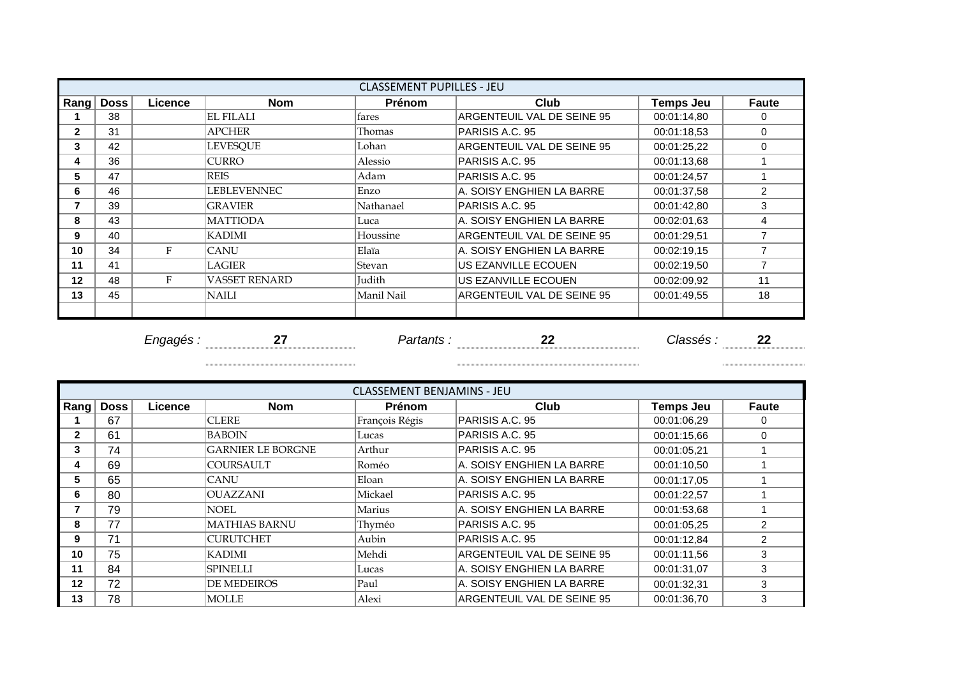|                |             |         |                  | <b>CLASSEMENT PUPILLES - JEU</b> |                            |                  |                |
|----------------|-------------|---------|------------------|----------------------------------|----------------------------|------------------|----------------|
| Rang           | <b>Doss</b> | Licence | <b>Nom</b>       | <b>Prénom</b>                    | Club                       | <b>Temps Jeu</b> | <b>Faute</b>   |
|                | 38          |         | <b>EL FILALI</b> | fares                            | ARGENTEUIL VAL DE SEINE 95 | 00:01:14,80      | 0              |
| $\mathbf{2}$   | 31          |         | APCHER           | Thomas                           | PARISIS A.C. 95            | 00:01:18,53      | $\Omega$       |
| 3              | 42          |         | LEVESOUE         | Lohan                            | ARGENTEUIL VAL DE SEINE 95 | 00:01:25,22      | 0              |
| 4              | 36          |         | <b>CURRO</b>     | Alessio                          | PARISIS A.C. 95            | 00:01:13,68      |                |
| 5              | 47          |         | <b>REIS</b>      | Adam                             | PARISIS A.C. 95            | 00:01:24,57      |                |
| 6              | 46          |         | LEBLEVENNEC      | Enzo                             | A. SOISY ENGHIEN LA BARRE  | 00:01:37,58      | $\overline{2}$ |
| $\overline{7}$ | 39          |         | <b>GRAVIER</b>   | Nathanael                        | PARISIS A.C. 95            | 00:01:42.80      | 3              |
| 8              | 43          |         | <b>MATTIODA</b>  | Luca                             | A. SOISY ENGHIEN LA BARRE  | 00:02:01,63      | 4              |
| 9              | 40          |         | <b>KADIMI</b>    | Houssine                         | ARGENTEUIL VAL DE SEINE 95 | 00:01:29,51      |                |
| 10             | 34          | F       | <b>CANU</b>      | Elaïa                            | A. SOISY ENGHIEN LA BARRE  | 00:02:19.15      |                |
| 11             | 41          |         | LAGIER           | Stevan                           | US EZANVILLE ECOUEN        | 00:02:19.50      |                |
| 12             | 48          | F       | VASSET RENARD    | Judith                           | US EZANVILLE ECOUEN        | 00:02:09.92      | 11             |
| 13             | 45          |         | NAILI            | Manil Nail                       | ARGENTEUIL VAL DE SEINE 95 | 00:01:49.55      | 18             |
|                |             |         |                  |                                  |                            |                  |                |

*Engagés :* **27** *Partants :* **22** *Classés :* **22**

 

|              |           |                |                          | <b>CLASSEMENT BENJAMINS - JEU</b> |                            |                  |                |
|--------------|-----------|----------------|--------------------------|-----------------------------------|----------------------------|------------------|----------------|
|              | Rang Doss | <b>Licence</b> | <b>Nom</b>               | <b>Prénom</b>                     | Club                       | <b>Temps Jeu</b> | <b>Faute</b>   |
|              | 67        |                | <b>CLERE</b>             | François Régis                    | PARISIS A.C. 95            | 00:01:06.29      | 0              |
| $\mathbf{2}$ | 61        |                | <b>BABOIN</b>            | Lucas                             | PARISIS A.C. 95            | 00:01:15,66      | $\Omega$       |
| 3            | 74        |                | <b>GARNIER LE BORGNE</b> | Arthur                            | PARISIS A.C. 95            | 00:01:05,21      |                |
| 4            | 69        |                | <b>COURSAULT</b>         | Roméo                             | A. SOISY ENGHIEN LA BARRE  | 00:01:10,50      |                |
| 5            | 65        |                | <b>CANU</b>              | Eloan                             | A. SOISY ENGHIEN LA BARRE  | 00:01:17,05      |                |
| 6            | 80        |                | <b>OUAZZANI</b>          | Mickael                           | PARISIS A.C. 95            | 00:01:22,57      |                |
| 7            | 79        |                | NOEL                     | Marius                            | IA. SOISY ENGHIEN LA BARRE | 00:01:53,68      |                |
| 8            | 77        |                | <b>MATHIAS BARNU</b>     | Thyméo                            | PARISIS A.C. 95            | 00:01:05,25      | $\mathfrak{p}$ |
| 9            | 71        |                | <b>CURUTCHET</b>         | Aubin                             | PARISIS A.C. 95            | 00:01:12.84      | 2              |
| 10           | 75        |                | <b>KADIMI</b>            | Mehdi                             | ARGENTEUIL VAL DE SEINE 95 | 00:01:11,56      | 3              |
| 11           | 84        |                | SPINELLI                 | Lucas                             | IA. SOISY ENGHIEN LA BARRE | 00:01:31.07      | 3              |
| 12           | 72        |                | <b>DE MEDEIROS</b>       | Paul                              | A. SOISY ENGHIEN LA BARRE  | 00:01:32,31      | 3              |
| 13           | 78        |                | <b>MOLLE</b>             | Alexi                             | ARGENTEUIL VAL DE SEINE 95 | 00:01:36,70      | 3              |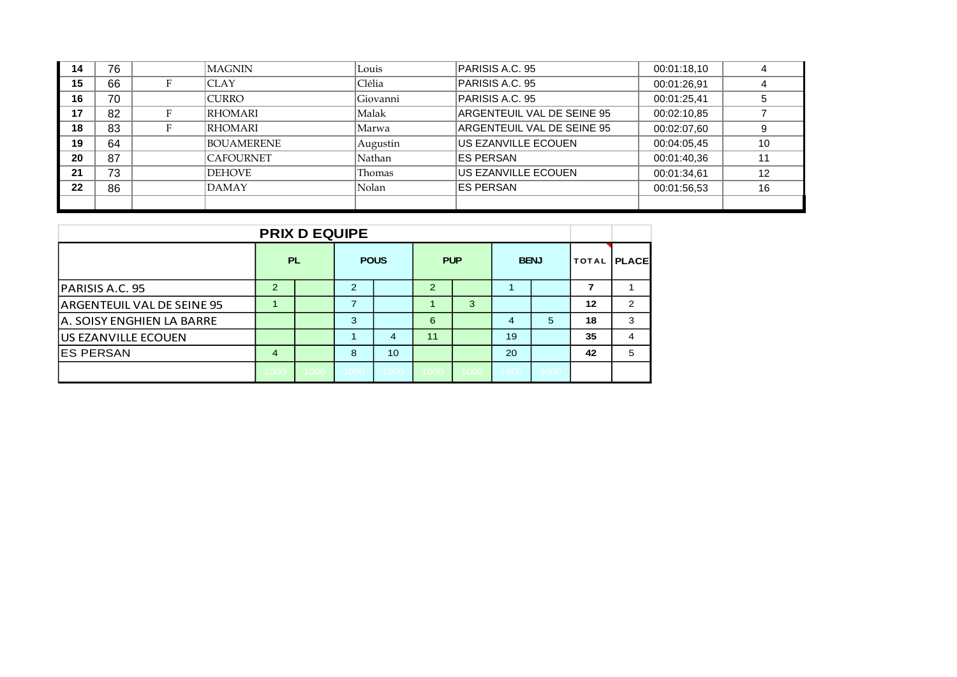| 14 | 76 |   | MAGNIN           | Louis    | PARISIS A.C. 95            | 00:01:18,10 |    |
|----|----|---|------------------|----------|----------------------------|-------------|----|
| 15 | 66 |   | ICLAY            | Clélia   | PARISIS A.C. 95            | 00:01:26.91 |    |
| 16 | 70 |   | <b>CURRO</b>     | Giovanni | PARISIS A.C. 95            | 00:01:25.41 |    |
| 17 | 82 | Е | RHOMARI          | Malak    | ARGENTEUIL VAL DE SEINE 95 | 00:02:10,85 |    |
| 18 | 83 |   | <b>RHOMARI</b>   | Marwa    | ARGENTEUIL VAL DE SEINE 95 | 00:02:07.60 |    |
| 19 | 64 |   | BOUAMERENE       | Augustin | US EZANVILLE ECOUEN        | 00:04:05.45 | 10 |
| 20 | 87 |   | <b>CAFOURNET</b> | Nathan   | <b>ES PERSAN</b>           | 00:01:40,36 |    |
| 21 | 73 |   | <b>DEHOVE</b>    | Thomas   | US EZANVILLE ECOUEN        | 00:01:34.61 | 12 |
| 22 | 86 |   | DAMAY            | Nolan    | <b>ES PERSAN</b>           | 00:01:56.53 | 16 |
|    |    |   |                  |          |                            |             |    |

| <b>PRIX D EQUIPE</b>       |                |           |      |             |               |            |             |      |             |   |
|----------------------------|----------------|-----------|------|-------------|---------------|------------|-------------|------|-------------|---|
|                            |                | <b>PL</b> |      | <b>POUS</b> |               | <b>PUP</b> | <b>BENJ</b> |      | TOTAL PLACE |   |
| PARISIS A.C. 95            | 2              |           | 2    |             | $\mathcal{P}$ |            |             |      |             |   |
| ARGENTEUIL VAL DE SEINE 95 |                |           |      |             |               | 3          |             |      | 12          | 2 |
| A. SOISY ENGHIEN LA BARRE  |                |           | 3    |             | 6             |            | 4           | 5    | 18          | 3 |
| <b>US EZANVILLE ECOUEN</b> |                |           |      | 4           | 11            |            | 19          |      | 35          | 4 |
| <b>ES PERSAN</b>           | $\overline{4}$ |           | 8    | 10          |               |            | 20          |      | 42          | 5 |
|                            | 1000           | 1000      | 1000 | 1000        | 1000          | 1000       | 1000        | 1000 |             |   |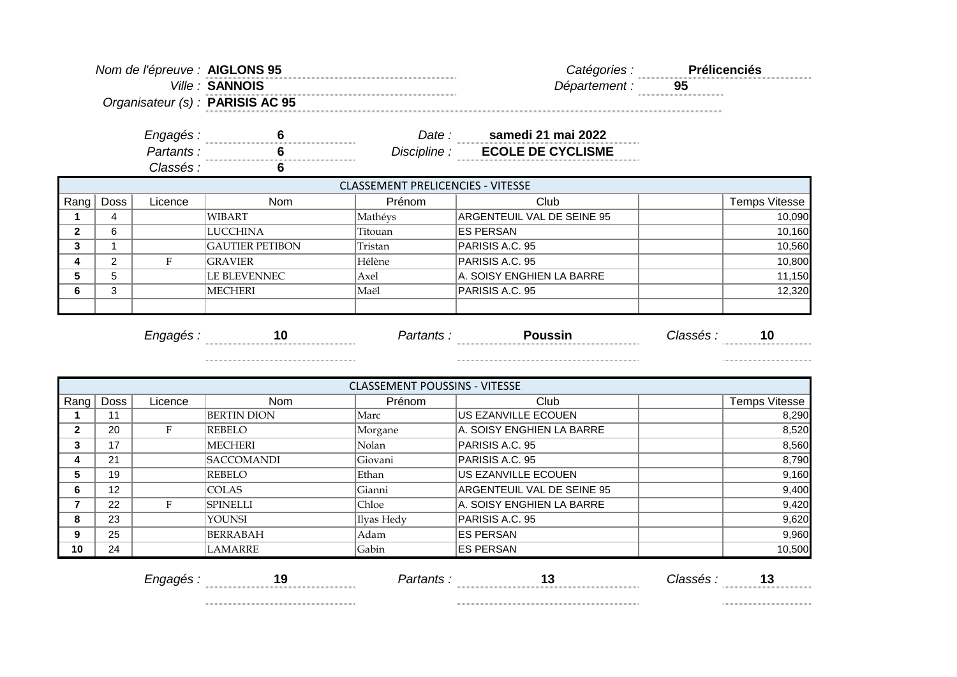|                | Nom de l'épreuve : AIGLONS 95<br>Organisateur (s) : PARISIS AC 95 |           | Ville: SANNOIS         |                                          | Catégories :<br>Département :  | <b>Prélicenciés</b><br>95 |                      |
|----------------|-------------------------------------------------------------------|-----------|------------------------|------------------------------------------|--------------------------------|---------------------------|----------------------|
|                |                                                                   | Engagés : | 6                      |                                          | Date: samedi 21 mai 2022       |                           |                      |
|                |                                                                   | Partants: | $6\phantom{1}6$        |                                          | Discipline : ECOLE DE CYCLISME |                           |                      |
|                |                                                                   | Classés : | $6\phantom{1}6$        |                                          |                                |                           |                      |
|                |                                                                   |           |                        | <b>CLASSEMENT PRELICENCIES - VITESSE</b> |                                |                           |                      |
| Rang           | <b>Doss</b>                                                       | Licence   | Nom                    | Prénom                                   | Club                           |                           | <b>Temps Vitesse</b> |
| 1              | 4                                                                 |           | <b>WIBART</b>          | Mathéys                                  | ARGENTEUIL VAL DE SEINE 95     |                           | 10,090               |
| $\overline{2}$ | 6                                                                 |           | <b>LUCCHINA</b>        | Titouan                                  | <b>ES PERSAN</b>               |                           | 10,160               |
| 3              | 1                                                                 |           | <b>GAUTIER PETIBON</b> | Tristan                                  | PARISIS A.C. 95                |                           | 10,560               |
| 4              | 2                                                                 | $\rm F$   | <b>GRAVIER</b>         | Hélène                                   | PARISIS A.C. 95                |                           | 10,800               |
| 5              | 5                                                                 |           | LE BLEVENNEC           | Axel                                     | A. SOISY ENGHIEN LA BARRE      |                           | 11,150               |
| 6              | 3                                                                 |           | <b>MECHERI</b>         | Maël                                     | PARISIS A.C. 95                |                           | 12,320               |
|                |                                                                   | Engagés : | 10                     |                                          | <b>Poussin</b><br>Partants :   | Classés :                 | 10                   |
|                |                                                                   |           |                        |                                          |                                |                           |                      |
|                |                                                                   |           |                        | <b>CLASSEMENT POUSSINS - VITESSE</b>     |                                |                           |                      |
| Rang           | Doss                                                              | Licence   | <b>Nom</b>             | Prénom                                   | Club                           |                           | Temps Vitesse        |
| 1              | 11                                                                |           | <b>BERTIN DION</b>     | Marc                                     | US EZANVILLE ECOUEN            |                           | 8,290                |
| $\mathbf{2}$   | 20                                                                | F         | <b>REBELO</b>          | Morgane                                  | A. SOISY ENGHIEN LA BARRE      |                           | 8,520                |
| 3              | 17                                                                |           | <b>MECHERI</b>         | Nolan                                    | PARISIS A.C. 95                |                           | 8,560                |
| 4              | 21                                                                |           | <b>SACCOMANDI</b>      | Giovani                                  | PARISIS A.C. 95                |                           | 8,790                |
| 5              | 19                                                                |           | <b>REBELO</b>          | Ethan                                    | US EZANVILLE ECOUEN            |                           | 9,160                |
| 6              | 12                                                                |           | <b>COLAS</b>           | Gianni                                   | ARGENTEUIL VAL DE SEINE 95     |                           | 9,400                |
| $\overline{7}$ | 22                                                                | F         | <b>SPINELLI</b>        | Chloe                                    | A. SOISY ENGHIEN LA BARRE      |                           | 9,420                |

**10** 24 LAMARRE (Gabin ES PERSAN 10,500 LAMARRE (Gabin 10,500 LAMARRE ) *Engagés :* **19** *Partants :* **13** *Classés :* **13**

**8** 23 YOUNSI Ilyas Hedy PARISIS A.C. 95 9,620 **9**  $\begin{array}{|c|c|c|c|c|}\n 25 & 3900 & 5000 & 5000 & 5000 & 5000 & 5000 & 5000 & 5000 & 5000 & 5000 & 5000 & 5000 & 5000 & 5000 & 5000 & 5000 & 5000 & 5000 & 5000 & 5000 & 5000 & 5000 & 5000 & 5000 & 5000 & 5000 & 5000 & 5000 & 5000 & 5000 & 5000 & 5000 & 50$ 

 $\begin{minipage}{.4\linewidth} \begin{tabular}{l} \hline \textbf{0} & \textbf{0} & \textbf{0} & \textbf{0} & \textbf{0} & \textbf{0} & \textbf{0} & \textbf{0} & \textbf{0} & \textbf{0} & \textbf{0} & \textbf{0} & \textbf{0} & \textbf{0} & \textbf{0} & \textbf{0} & \textbf{0} & \textbf{0} & \textbf{0} & \textbf{0} & \textbf{0} & \textbf{0} & \textbf{0} & \textbf{0} & \textbf{0} & \textbf{0} & \textbf{0} & \textbf{0} & \$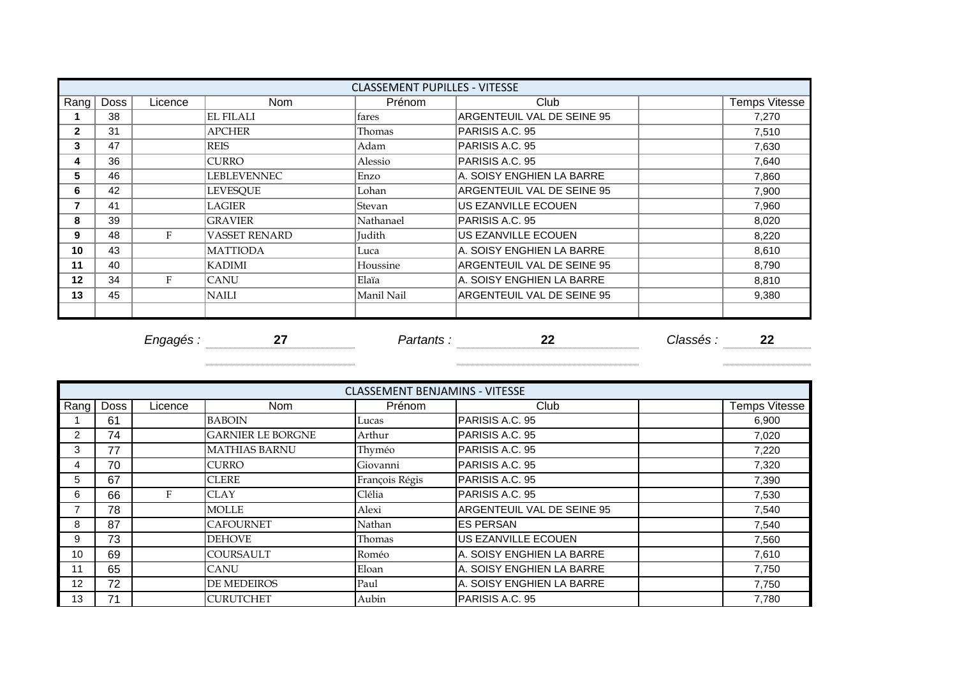|                |             |           |                      | <b>CLASSEMENT PUPILLES - VITESSE</b> |                            |           |                      |
|----------------|-------------|-----------|----------------------|--------------------------------------|----------------------------|-----------|----------------------|
| Rang           | <b>Doss</b> | Licence   | <b>Nom</b>           | Prénom                               | Club                       |           | <b>Temps Vitesse</b> |
|                | 38          |           | <b>EL FILALI</b>     | fares                                | ARGENTEUIL VAL DE SEINE 95 |           | 7,270                |
| $\overline{2}$ | 31          |           | <b>APCHER</b>        | Thomas                               | PARISIS A.C. 95            |           | 7,510                |
| 3              | 47          |           | <b>REIS</b>          | Adam                                 | PARISIS A.C. 95            |           | 7,630                |
| 4              | 36          |           | <b>CURRO</b>         | Alessio                              | PARISIS A.C. 95            |           | 7,640                |
| 5              | 46          |           | LEBLEVENNEC          | Enzo                                 | A. SOISY ENGHIEN LA BARRE  |           | 7,860                |
| 6              | 42          |           | <b>LEVESQUE</b>      | Lohan                                | ARGENTEUIL VAL DE SEINE 95 |           | 7,900                |
| 7              | 41          |           | LAGIER               | Stevan                               | US EZANVILLE ECOUEN        |           | 7,960                |
| 8              | 39          |           | <b>GRAVIER</b>       | Nathanael                            | PARISIS A.C. 95            |           | 8,020                |
| 9              | 48          | F         | <b>VASSET RENARD</b> | Judith                               | US EZANVILLE ECOUEN        |           | 8,220                |
| 10             | 43          |           | <b>MATTIODA</b>      | Luca                                 | A. SOISY ENGHIEN LA BARRE  |           | 8,610                |
| 11             | 40          |           | <b>KADIMI</b>        | Houssine                             | ARGENTEUIL VAL DE SEINE 95 |           | 8,790                |
| 12             | 34          | F         | <b>CANU</b>          | Elaïa                                | A. SOISY ENGHIEN LA BARRE  |           | 8,810                |
| 13             | 45          |           | <b>NAILI</b>         | Manil Nail                           | ARGENTEUIL VAL DE SEINE 95 |           | 9,380                |
|                |             |           |                      |                                      |                            |           |                      |
|                |             | Engagés : | 27                   | Partants :                           | 22                         | Classés : | 22                   |

| Rang           | <b>Doss</b> | Licence | <b>Nom</b>               | Prénom         | Club                        | <b>Temps Vitesse</b> |
|----------------|-------------|---------|--------------------------|----------------|-----------------------------|----------------------|
|                | 61          |         | <b>BABOIN</b>            | Lucas          | PARISIS A.C. 95             | 6,900                |
| $\overline{2}$ | 74          |         | <b>GARNIER LE BORGNE</b> | Arthur         | PARISIS A.C. 95             | 7,020                |
| 3              | 77          |         | <b>MATHIAS BARNU</b>     | Thyméo         | PARISIS A.C. 95             | 7,220                |
| 4              | 70          |         | <b>CURRO</b>             | Giovanni       | <b>PARISIS A.C. 95</b>      | 7,320                |
| 5              | 67          |         | <b>CLERE</b>             | François Régis | <b>PARISIS A.C. 95</b>      | 7,390                |
| 6              | 66          | н.      | <b>CLAY</b>              | Clélia         | <b>PARISIS A.C. 95</b>      | 7,530                |
|                | 78          |         | <b>MOLLE</b>             | Alexi          | IARGENTEUIL VAL DE SEINE 95 | 7,540                |
| 8              | 87          |         | <b>CAFOURNET</b>         | Nathan         | <b>IES PERSAN</b>           | 7,540                |
| 9              | 73          |         | DEHOVE                   | Thomas         | US EZANVILLE ECOUEN         | 7,560                |
| 10             | 69          |         | <b>COURSAULT</b>         | Roméo          | IA. SOISY ENGHIEN LA BARRE  | 7,610                |
| 11             | 65          |         | <b>CANU</b>              | Eloan          | A. SOISY ENGHIEN LA BARRE   | 7,750                |
| 12             | 72          |         | <b>DE MEDEIROS</b>       | Paul           | A. SOISY ENGHIEN LA BARRE   | 7,750                |
| 13             | 71          |         | <b>CURUTCHET</b>         | Aubin          | PARISIS A.C. 95             | 7,780                |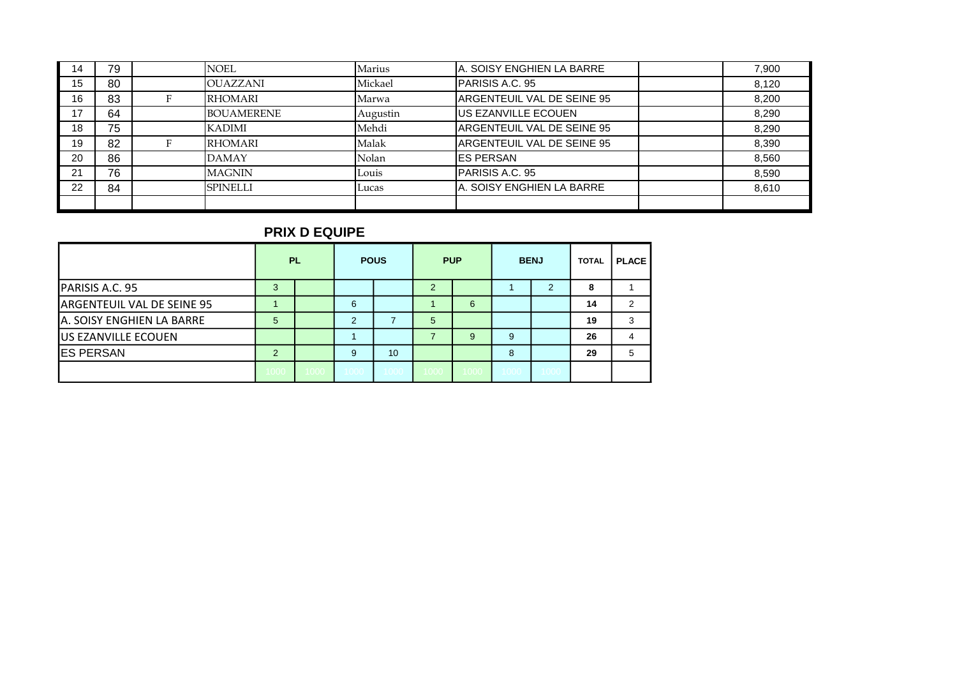| 14 | 79 | <b>NOEL</b>       | Marius   | A. SOISY ENGHIEN LA BARRE  | 7,900 |
|----|----|-------------------|----------|----------------------------|-------|
| 15 | 80 | <b>OUAZZANI</b>   | Mickael  | <b>PARISIS A.C. 95</b>     | 8.120 |
| 16 | 83 | <b>RHOMARI</b>    | Marwa    | ARGENTEUIL VAL DE SEINE 95 | 8,200 |
| 17 | 64 | <b>BOUAMERENE</b> | Augustin | <b>US EZANVILLE ECOUEN</b> | 8,290 |
| 18 | 75 | <b>KADIMI</b>     | Mehdi    | ARGENTEUIL VAL DE SEINE 95 | 8,290 |
| 19 | 82 | <b>RHOMARI</b>    | Malak    | ARGENTEUIL VAL DE SEINE 95 | 8,390 |
| 20 | 86 | <b>DAMAY</b>      | Nolan    | <b>ES PERSAN</b>           | 8,560 |
| 21 | 76 | <b>MAGNIN</b>     | Louis    | <b>PARISIS A.C. 95</b>     | 8,590 |
| 22 | 84 | <b>SPINELLI</b>   | Lucas    | A. SOISY ENGHIEN LA BARRE  | 8,610 |
|    |    |                   |          |                            |       |

#### **PRIX D EQUIPE**

|                            | <b>PL</b> |      |      | <b>POUS</b> |      | <b>PUP</b> | <b>BENJ</b> |               | <b>TOTAL</b> | <b>PLACE</b> |
|----------------------------|-----------|------|------|-------------|------|------------|-------------|---------------|--------------|--------------|
| PARISIS A.C. 95            | 3         |      |      |             | 2    |            |             | $\mathcal{P}$ | 8            |              |
| ARGENTEUIL VAL DE SEINE 95 |           |      | 6    |             |      | 6          |             |               | 14           | 2            |
| A. SOISY ENGHIEN LA BARRE  | 5         |      | 2    |             | 5    |            |             |               | 19           | 3            |
| <b>US EZANVILLE ECOUEN</b> |           |      |      |             |      | 9          | 9           |               | 26           |              |
| <b>ES PERSAN</b>           | 2         |      | 9    | 10          |      |            | 8           |               | 29           | 5            |
|                            | 1000      | 1000 | 1000 | 1000        | 1000 | 1000       | 1000        | 1000          |              |              |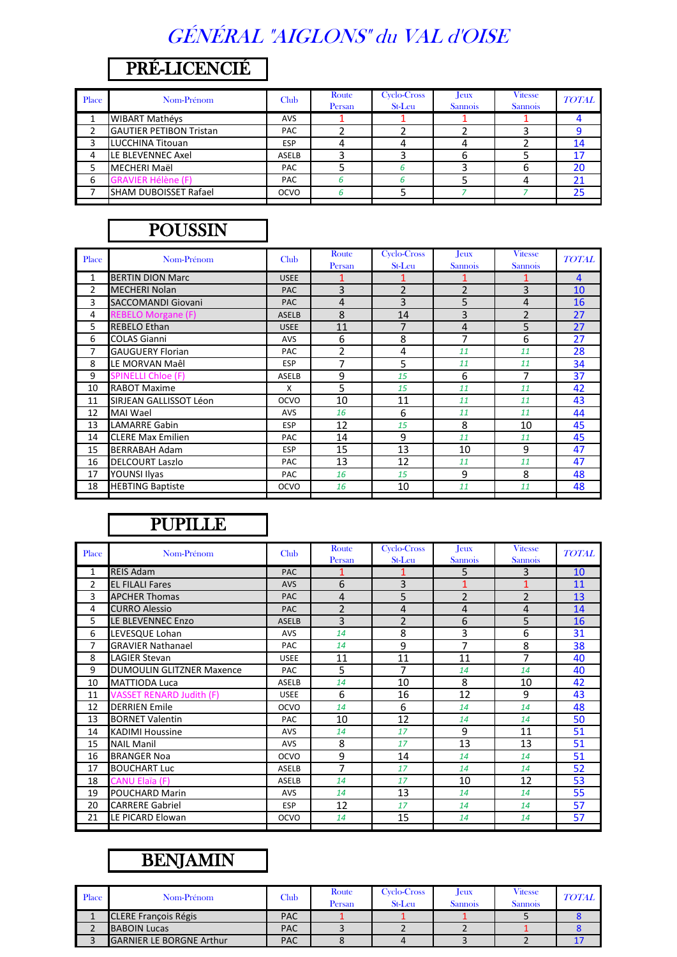# GÉNÉRAL "AIGLONS" du VAL d'OISE

## PRÉ-LICENCIÉ

| Place | Nom-Prénom                     | Club        | Route<br>Persan | Cyclo-Cross<br>St-Leu | Jeux<br><b>Sannois</b> | <b>Vitesse</b><br><b>Sannois</b> | <b>TOTAL</b> |
|-------|--------------------------------|-------------|-----------------|-----------------------|------------------------|----------------------------------|--------------|
|       | <b>WIBART Mathéys</b>          | <b>AVS</b>  |                 |                       |                        |                                  |              |
|       | <b>GAUTIER PETIBON Tristan</b> | PAC         |                 |                       |                        |                                  |              |
|       | LUCCHINA Titouan               | <b>ESP</b>  |                 |                       |                        |                                  | 14           |
| 4     | LE BLEVENNEC Axel              | ASELB       |                 |                       |                        |                                  | 17           |
|       | MECHERI Maël                   | PAC         |                 |                       |                        |                                  | 20           |
| 6     | <b>GRAVIER Hélène (F)</b>      | PAC         |                 |                       |                        |                                  | 21           |
|       | <b>I</b> SHAM DUBOISSET Rafael | <b>OCVO</b> |                 |                       |                        |                                  | 25           |
|       |                                |             |                 |                       |                        |                                  |              |

### POUSSIN

| Place          | Nom-Prénom                | <b>Club</b>  | Route<br>Persan | Cyclo-Cross<br>St-Leu    | Jeux<br><b>Sannois</b>   | <b>Vitesse</b><br><b>Sannois</b> | <b>TOTAL</b> |
|----------------|---------------------------|--------------|-----------------|--------------------------|--------------------------|----------------------------------|--------------|
| 1              | <b>BERTIN DION Marc</b>   | <b>USEE</b>  |                 |                          |                          |                                  | 4            |
| $\overline{2}$ | <b>MECHERI Nolan</b>      | <b>PAC</b>   | 3               | $\overline{\phantom{a}}$ | $\overline{\phantom{a}}$ | 3                                | 10           |
| 3              | <b>SACCOMANDI Giovani</b> | <b>PAC</b>   | 4               | 3                        | 5                        | 4                                | 16           |
| 4              | <b>REBELO Morgane (F)</b> | <b>ASELB</b> | 8               | 14                       | 3                        | $\overline{2}$                   | 27           |
| 5              | <b>REBELO Ethan</b>       | <b>USEE</b>  | 11              | $\overline{7}$           | $\overline{4}$           | 5                                | 27           |
| 6              | <b>COLAS Gianni</b>       | AVS          | 6               | 8                        | 7                        | 6                                | 27           |
| 7              | <b>GAUGUERY Florian</b>   | PAC          | 2               | 4                        | 11                       | 11                               | 28           |
| 8              | LE MORVAN Maêl            | <b>ESP</b>   | 7               | 5                        | 11                       | 11                               | 34           |
| 9              | <b>SPINELLI Chloe (F)</b> | <b>ASELB</b> | 9               | 15                       | 6                        | 7                                | 37           |
| 10             | <b>RABOT Maxime</b>       | x            | 5               | 15                       | 11                       | 11                               | 42           |
| 11             | SIRJEAN GALLISSOT Léon    | <b>OCVO</b>  | 10              | 11                       | 11                       | 11                               | 43           |
| 12             | <b>MAI Wael</b>           | AVS          | 16              | 6                        | 11                       | 11                               | 44           |
| 13             | <b>LAMARRE Gabin</b>      | <b>ESP</b>   | 12              | 15                       | 8                        | 10                               | 45           |
| 14             | <b>CLERE Max Emilien</b>  | PAC          | 14              | 9                        | 11                       | 11                               | 45           |
| 15             | <b>BERRABAH Adam</b>      | <b>ESP</b>   | 15              | 13                       | 10                       | 9                                | 47           |
| 16             | <b>DELCOURT Laszlo</b>    | PAC          | 13              | 12                       | 11                       | 11                               | 47           |
| 17             | <b>YOUNSI Ilyas</b>       | <b>PAC</b>   | 16              | 15                       | 9                        | 8                                | 48           |
| 18             | <b>HEBTING Baptiste</b>   | <b>OCVO</b>  | 16              | 10                       | 11                       | 11                               | 48           |
|                |                           |              |                 |                          |                          |                                  |              |

### PUPILLE

| Place | Nom-Prénom                       | Club         | Route<br>Persan | Cyclo-Cross<br>St-Leu | <b>J</b> eux<br><b>Sannois</b> | <b>Vitesse</b><br><b>Sannois</b> | <b>TOTAL</b> |
|-------|----------------------------------|--------------|-----------------|-----------------------|--------------------------------|----------------------------------|--------------|
| 1     | <b>REIS Adam</b>                 | <b>PAC</b>   |                 |                       | 5                              | 3                                | 10           |
| 2     | <b>EL FILALI Fares</b>           | <b>AVS</b>   | 6               | 3                     |                                | 1                                | 11           |
| 3     | <b>APCHER Thomas</b>             | <b>PAC</b>   | $\overline{4}$  | 5                     | $\overline{2}$                 | $\overline{2}$                   | 13           |
| 4     | <b>CURRO Alessio</b>             | <b>PAC</b>   | $\overline{2}$  | 4                     | 4                              | 4                                | 14           |
| 5     | LE BLEVENNEC Enzo                | <b>ASELB</b> | $\overline{3}$  | $\overline{2}$        | 6                              | 5                                | 16           |
| 6     | LEVESQUE Lohan                   | <b>AVS</b>   | 14              | 8                     | 3                              | 6                                | 31           |
| 7     | <b>GRAVIER Nathanael</b>         | PAC          | 14              | 9                     | $\overline{7}$                 | 8                                | 38           |
| 8     | <b>LAGIER Stevan</b>             | <b>USEE</b>  | 11              | 11                    | 11                             | 7                                | 40           |
| 9     | <b>DUMOULIN GLITZNER Maxence</b> | <b>PAC</b>   | 5               | 7                     | 14                             | 14                               | 40           |
| 10    | <b>MATTIODA Luca</b>             | <b>ASELB</b> | 14              | 10                    | 8                              | 10                               | 42           |
| 11    | <b>VASSET RENARD Judith (F)</b>  | <b>USEE</b>  | 6               | 16                    | 12                             | 9                                | 43           |
| 12    | <b>DERRIEN Emile</b>             | OCVO         | 14              | 6                     | 14                             | 14                               | 48           |
| 13    | <b>BORNET Valentin</b>           | <b>PAC</b>   | 10              | 12                    | 14                             | 14                               | 50           |
| 14    | <b>KADIMI Houssine</b>           | <b>AVS</b>   | 14              | 17                    | 9                              | 11                               | 51           |
| 15    | <b>NAIL Manil</b>                | <b>AVS</b>   | 8               | 17                    | 13                             | 13                               | 51           |
| 16    | <b>BRANGER Noa</b>               | OCVO         | 9               | 14                    | 14                             | 14                               | 51           |
| 17    | <b>BOUCHART Luc</b>              | <b>ASELB</b> | $\overline{7}$  | 17                    | 14                             | 14                               | 52           |
| 18    | <b>CANU Elaïa (F)</b>            | <b>ASELB</b> | 14              | 17                    | 10                             | 12                               | 53           |
| 19    | <b>POUCHARD Marin</b>            | <b>AVS</b>   | 14              | 13                    | 14                             | 14                               | 55           |
| 20    | <b>CARRERE Gabriel</b>           | <b>ESP</b>   | 12              | 17                    | 14                             | 14                               | 57           |
| 21    | LE PICARD Elowan                 | OCVO         | 14              | 15                    | 14                             | 14                               | 57           |
|       |                                  |              |                 |                       |                                |                                  |              |

### BENJAMIN

| Place | Nom-Prénom                      | Club       | Route<br>Persan | Cvclo-Cross<br><b>St-Leu</b> | $I$ eux<br><b>Sannois</b> | <b>Vitesse</b><br><b>Sannois</b> | <b>TOTAL</b> |
|-------|---------------------------------|------------|-----------------|------------------------------|---------------------------|----------------------------------|--------------|
|       | <b>CLERE François Régis</b>     | <b>PAC</b> |                 |                              |                           |                                  |              |
|       | <b>BABOIN Lucas</b>             | <b>PAC</b> |                 |                              |                           |                                  |              |
|       | <b>GARNIER LE BORGNE Arthur</b> | <b>PAC</b> |                 |                              |                           |                                  |              |